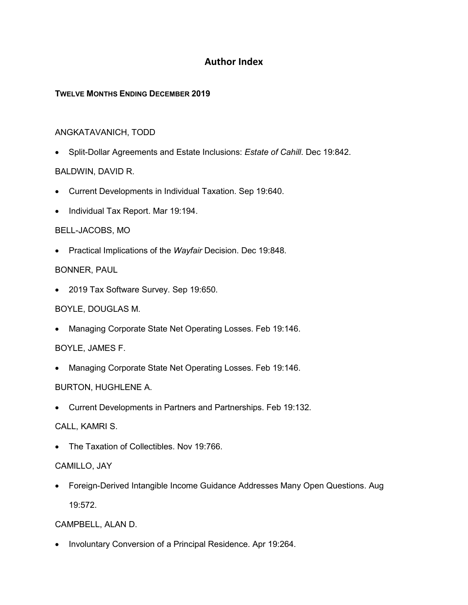# **Author Index**

### **TWELVE MONTHS ENDING DECEMBER 2019**

### ANGKATAVANICH, TODD

• Split-Dollar Agreements and Estate Inclusions: *Estate of Cahill*. Dec 19:842.

## BALDWIN, DAVID R.

- Current Developments in Individual Taxation. Sep 19:640.
- Individual Tax Report. Mar 19:194.

### BELL-JACOBS, MO

• Practical Implications of the *Wayfair* Decision. Dec 19:848.

### BONNER, PAUL

• 2019 Tax Software Survey. Sep 19:650.

## BOYLE, DOUGLAS M.

• Managing Corporate State Net Operating Losses. Feb 19:146.

## BOYLE, JAMES F.

• Managing Corporate State Net Operating Losses. Feb 19:146.

## BURTON, HUGHLENE A.

• Current Developments in Partners and Partnerships. Feb 19:132.

#### CALL, KAMRI S.

• The Taxation of Collectibles. Nov 19:766.

#### CAMILLO, JAY

• Foreign-Derived Intangible Income Guidance Addresses Many Open Questions. Aug 19:572.

## CAMPBELL, ALAN D.

• Involuntary Conversion of a Principal Residence. Apr 19:264.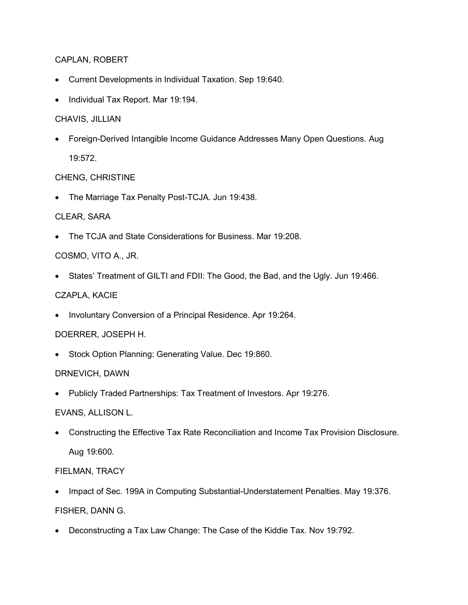#### CAPLAN, ROBERT

- Current Developments in Individual Taxation. Sep 19:640.
- Individual Tax Report. Mar 19:194.

#### CHAVIS, JILLIAN

• Foreign-Derived Intangible Income Guidance Addresses Many Open Questions. Aug 19:572.

### CHENG, CHRISTINE

• The Marriage Tax Penalty Post-TCJA. Jun 19:438.

### CLEAR, SARA

• The TCJA and State Considerations for Business. Mar 19:208.

## COSMO, VITO A., JR.

• States' Treatment of GILTI and FDII: The Good, the Bad, and the Ugly. Jun 19:466.

### CZAPLA, KACIE

• Involuntary Conversion of a Principal Residence. Apr 19:264.

## DOERRER, JOSEPH H.

• Stock Option Planning: Generating Value. Dec 19:860.

#### DRNEVICH, DAWN

• Publicly Traded Partnerships: Tax Treatment of Investors. Apr 19:276.

## EVANS, ALLISON L.

• Constructing the Effective Tax Rate Reconciliation and Income Tax Provision Disclosure. Aug 19:600.

## FIELMAN, TRACY

- Impact of Sec. 199A in Computing Substantial-Understatement Penalties. May 19:376. FISHER, DANN G.
- Deconstructing a Tax Law Change: The Case of the Kiddie Tax. Nov 19:792.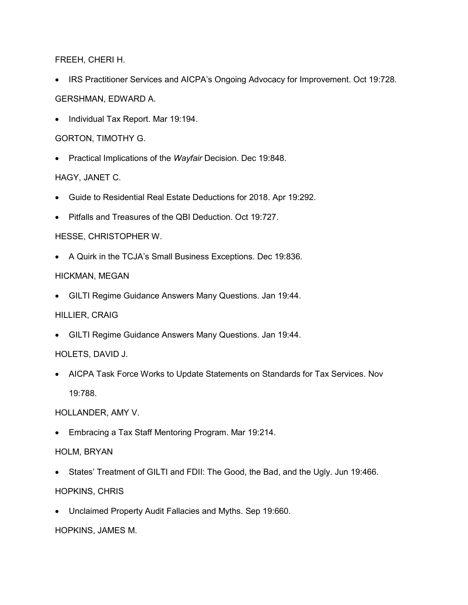FREEH, CHERI H.

- IRS Practitioner Services and AICPA's Ongoing Advocacy for Improvement. Oct 19:728. GERSHMAN, EDWARD A.
- Individual Tax Report. Mar 19:194.

GORTON, TIMOTHY G.

• Practical Implications of the *Wayfair* Decision. Dec 19:848.

HAGY, JANET C.

- Guide to Residential Real Estate Deductions for 2018. Apr 19:292.
- Pitfalls and Treasures of the QBI Deduction. Oct 19:727.

HESSE, CHRISTOPHER W.

• A Quirk in the TCJA's Small Business Exceptions. Dec 19:836.

#### HICKMAN, MEGAN

• GILTI Regime Guidance Answers Many Questions. Jan 19:44.

#### HILLIER, CRAIG

• GILTI Regime Guidance Answers Many Questions. Jan 19:44.

#### HOLETS, DAVID J.

• AICPA Task Force Works to Update Statements on Standards for Tax Services. Nov 19:788.

#### HOLLANDER, AMY V.

• Embracing a Tax Staff Mentoring Program. Mar 19:214.

#### HOLM, BRYAN

- States' Treatment of GILTI and FDII: The Good, the Bad, and the Ugly. Jun 19:466. HOPKINS, CHRIS
- Unclaimed Property Audit Fallacies and Myths. Sep 19:660.

HOPKINS, JAMES M.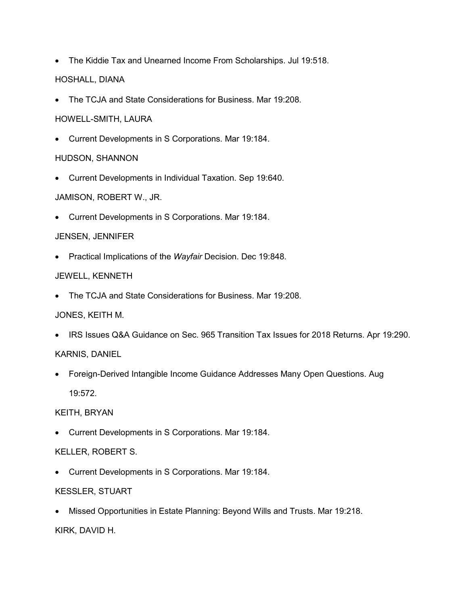- The Kiddie Tax and Unearned Income From Scholarships. Jul 19:518. HOSHALL, DIANA
- The TCJA and State Considerations for Business. Mar 19:208.

### HOWELL-SMITH, LAURA

• Current Developments in S Corporations. Mar 19:184.

## HUDSON, SHANNON

• Current Developments in Individual Taxation. Sep 19:640.

## JAMISON, ROBERT W., JR.

• Current Developments in S Corporations. Mar 19:184.

## JENSEN, JENNIFER

• Practical Implications of the *Wayfair* Decision. Dec 19:848.

## JEWELL, KENNETH

• The TCJA and State Considerations for Business. Mar 19:208.

## JONES, KEITH M.

• IRS Issues Q&A Guidance on Sec. 965 Transition Tax Issues for 2018 Returns. Apr 19:290.

## KARNIS, DANIEL

• Foreign-Derived Intangible Income Guidance Addresses Many Open Questions. Aug 19:572.

## KEITH, BRYAN

• Current Developments in S Corporations. Mar 19:184.

## KELLER, ROBERT S.

• Current Developments in S Corporations. Mar 19:184.

## KESSLER, STUART

• Missed Opportunities in Estate Planning: Beyond Wills and Trusts. Mar 19:218.

KIRK, DAVID H.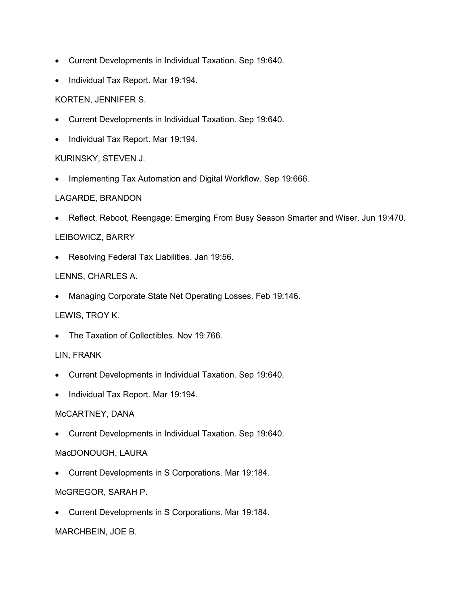- Current Developments in Individual Taxation. Sep 19:640.
- Individual Tax Report. Mar 19:194.

#### KORTEN, JENNIFER S.

- Current Developments in Individual Taxation. Sep 19:640.
- Individual Tax Report. Mar 19:194.

#### KURINSKY, STEVEN J.

• Implementing Tax Automation and Digital Workflow. Sep 19:666.

#### LAGARDE, BRANDON

• Reflect, Reboot, Reengage: Emerging From Busy Season Smarter and Wiser. Jun 19:470.

### LEIBOWICZ, BARRY

• Resolving Federal Tax Liabilities. Jan 19:56.

### LENNS, CHARLES A.

• Managing Corporate State Net Operating Losses. Feb 19:146.

## LEWIS, TROY K.

• The Taxation of Collectibles. Nov 19:766.

#### LIN, FRANK

- Current Developments in Individual Taxation. Sep 19:640.
- Individual Tax Report. Mar 19:194.

#### McCARTNEY, DANA

• Current Developments in Individual Taxation. Sep 19:640.

#### MacDONOUGH, LAURA

• Current Developments in S Corporations. Mar 19:184.

#### McGREGOR, SARAH P.

• Current Developments in S Corporations. Mar 19:184.

#### MARCHBEIN, JOE B.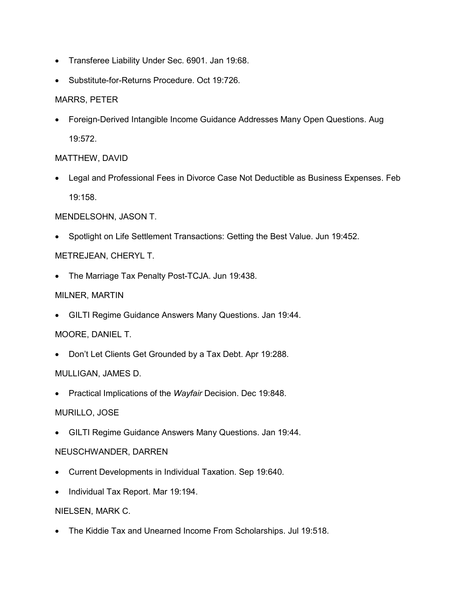- Transferee Liability Under Sec. 6901. Jan 19:68.
- Substitute-for-Returns Procedure. Oct 19:726.

## MARRS, PETER

• Foreign-Derived Intangible Income Guidance Addresses Many Open Questions. Aug 19:572.

## MATTHEW, DAVID

• Legal and Professional Fees in Divorce Case Not Deductible as Business Expenses. Feb 19:158.

## MENDELSOHN, JASON T.

• Spotlight on Life Settlement Transactions: Getting the Best Value. Jun 19:452.

## METREJEAN, CHERYL T.

• The Marriage Tax Penalty Post-TCJA. Jun 19:438.

MILNER, MARTIN

• GILTI Regime Guidance Answers Many Questions. Jan 19:44.

## MOORE, DANIEL T.

• Don't Let Clients Get Grounded by a Tax Debt. Apr 19:288.

## MULLIGAN, JAMES D.

• Practical Implications of the *Wayfair* Decision. Dec 19:848.

## MURILLO, JOSE

• GILTI Regime Guidance Answers Many Questions. Jan 19:44.

## NEUSCHWANDER, DARREN

- Current Developments in Individual Taxation. Sep 19:640.
- Individual Tax Report. Mar 19:194.

## NIELSEN, MARK C.

• The Kiddie Tax and Unearned Income From Scholarships. Jul 19:518.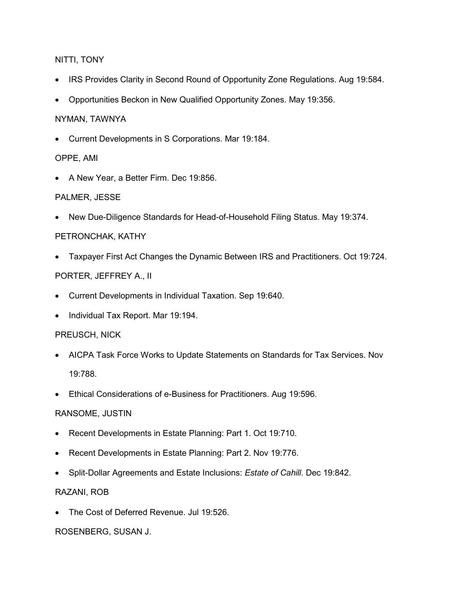### NITTI, TONY

- IRS Provides Clarity in Second Round of Opportunity Zone Regulations. Aug 19:584.
- Opportunities Beckon in New Qualified Opportunity Zones. May 19:356.

#### NYMAN, TAWNYA

• Current Developments in S Corporations. Mar 19:184.

#### OPPE, AMI

• A New Year, a Better Firm. Dec 19:856.

### PALMER, JESSE

• New Due-Diligence Standards for Head-of-Household Filing Status. May 19:374.

### PETRONCHAK, KATHY

• Taxpayer First Act Changes the Dynamic Between IRS and Practitioners. Oct 19:724. PORTER, JEFFREY A., II

### • Current Developments in Individual Taxation. Sep 19:640.

• Individual Tax Report. Mar 19:194.

#### PREUSCH, NICK

- AICPA Task Force Works to Update Statements on Standards for Tax Services. Nov 19:788.
- Ethical Considerations of e-Business for Practitioners. Aug 19:596.

#### RANSOME, JUSTIN

- Recent Developments in Estate Planning: Part 1. Oct 19:710.
- Recent Developments in Estate Planning: Part 2. Nov 19:776.
- Split-Dollar Agreements and Estate Inclusions: *Estate of Cahill*. Dec 19:842.

#### RAZANI, ROB

• The Cost of Deferred Revenue. Jul 19:526.

#### ROSENBERG, SUSAN J.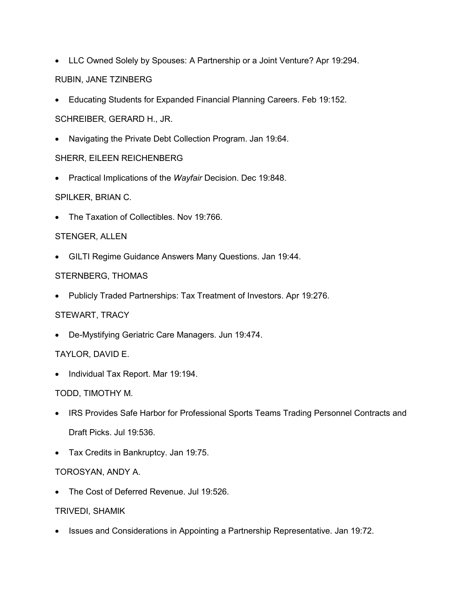- LLC Owned Solely by Spouses: A Partnership or a Joint Venture? Apr 19:294. RUBIN, JANE TZINBERG
- Educating Students for Expanded Financial Planning Careers. Feb 19:152.
- SCHREIBER, GERARD H., JR.
- Navigating the Private Debt Collection Program. Jan 19:64.

### SHERR, EILEEN REICHENBERG

• Practical Implications of the *Wayfair* Decision. Dec 19:848.

### SPILKER, BRIAN C.

• The Taxation of Collectibles. Nov 19:766.

### STENGER, ALLEN

• GILTI Regime Guidance Answers Many Questions. Jan 19:44.

#### STERNBERG, THOMAS

• Publicly Traded Partnerships: Tax Treatment of Investors. Apr 19:276.

## STEWART, TRACY

• De-Mystifying Geriatric Care Managers. Jun 19:474.

## TAYLOR, DAVID E.

• Individual Tax Report. Mar 19:194.

#### TODD, TIMOTHY M.

- IRS Provides Safe Harbor for Professional Sports Teams Trading Personnel Contracts and Draft Picks. Jul 19:536.
- Tax Credits in Bankruptcy. Jan 19:75.

#### TOROSYAN, ANDY A.

• The Cost of Deferred Revenue. Jul 19:526.

#### TRIVEDI, SHAMIK

• Issues and Considerations in Appointing a Partnership Representative. Jan 19:72.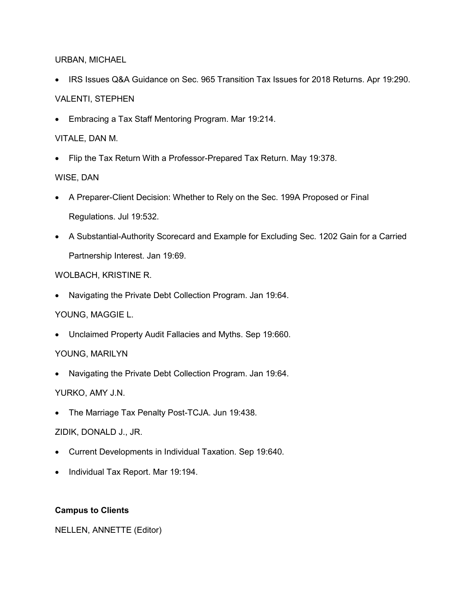#### URBAN, MICHAEL

- IRS Issues Q&A Guidance on Sec. 965 Transition Tax Issues for 2018 Returns. Apr 19:290. VALENTI, STEPHEN
- Embracing a Tax Staff Mentoring Program. Mar 19:214.

## VITALE, DAN M.

• Flip the Tax Return With a Professor-Prepared Tax Return. May 19:378.

## WISE, DAN

- A Preparer-Client Decision: Whether to Rely on the Sec. 199A Proposed or Final Regulations. Jul 19:532.
- A Substantial-Authority Scorecard and Example for Excluding Sec. 1202 Gain for a Carried Partnership Interest. Jan 19:69.

## WOLBACH, KRISTINE R.

• Navigating the Private Debt Collection Program. Jan 19:64.

# YOUNG, MAGGIE L.

• Unclaimed Property Audit Fallacies and Myths. Sep 19:660.

## YOUNG, MARILYN

• Navigating the Private Debt Collection Program. Jan 19:64.

## YURKO, AMY J.N.

• The Marriage Tax Penalty Post-TCJA. Jun 19:438.

## ZIDIK, DONALD J., JR.

- Current Developments in Individual Taxation. Sep 19:640.
- Individual Tax Report. Mar 19:194.

## **Campus to Clients**

NELLEN, ANNETTE (Editor)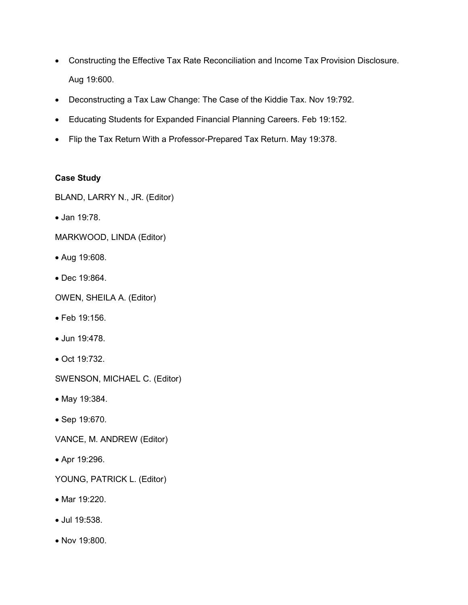- Constructing the Effective Tax Rate Reconciliation and Income Tax Provision Disclosure. Aug 19:600.
- Deconstructing a Tax Law Change: The Case of the Kiddie Tax. Nov 19:792.
- Educating Students for Expanded Financial Planning Careers. Feb 19:152.
- Flip the Tax Return With a Professor-Prepared Tax Return. May 19:378.

### **Case Study**

BLAND, LARRY N., JR. (Editor)

- Jan 19:78.
- MARKWOOD, LINDA (Editor)
- Aug 19:608.
- Dec 19:864.
- OWEN, SHEILA A. (Editor)
- Feb 19:156.
- Jun 19:478.
- Oct 19:732.

SWENSON, MICHAEL C. (Editor)

- May 19:384.
- Sep 19:670.
- VANCE, M. ANDREW (Editor)
- Apr 19:296.

YOUNG, PATRICK L. (Editor)

- Mar 19:220.
- Jul 19:538.
- Nov 19:800.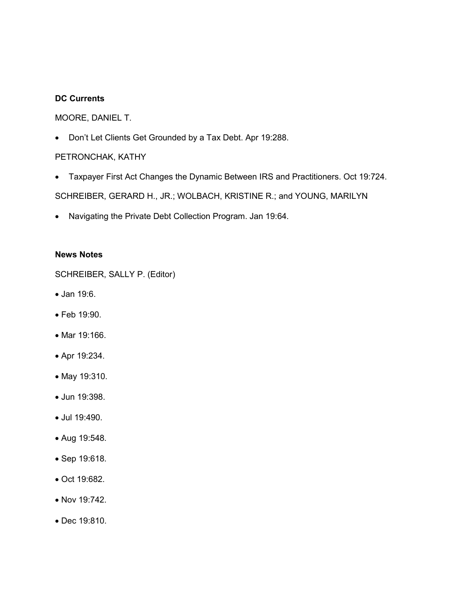#### **DC Currents**

### MOORE, DANIEL T.

• Don't Let Clients Get Grounded by a Tax Debt. Apr 19:288.

### PETRONCHAK, KATHY

- Taxpayer First Act Changes the Dynamic Between IRS and Practitioners. Oct 19:724. SCHREIBER, GERARD H., JR.; WOLBACH, KRISTINE R.; and YOUNG, MARILYN
- Navigating the Private Debt Collection Program. Jan 19:64.

#### **News Notes**

SCHREIBER, SALLY P. (Editor)

- Jan 19:6.
- Feb 19:90.
- Mar 19:166.
- Apr 19:234.
- May 19:310.
- Jun 19:398.
- Jul 19:490.
- Aug 19:548.
- Sep 19:618.
- Oct 19:682.
- Nov 19:742.
- Dec 19:810.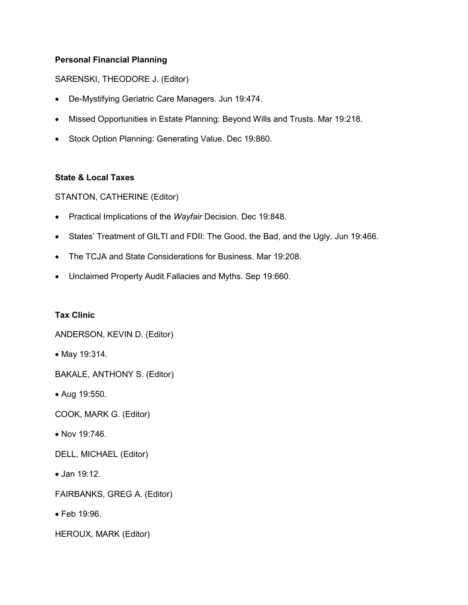## **Personal Financial Planning**

### SARENSKI, THEODORE J. (Editor)

- De-Mystifying Geriatric Care Managers. Jun 19:474.
- Missed Opportunities in Estate Planning: Beyond Wills and Trusts. Mar 19:218.
- Stock Option Planning: Generating Value. Dec 19:860.

### **State & Local Taxes**

STANTON, CATHERINE (Editor)

- Practical Implications of the *Wayfair* Decision. Dec 19:848.
- States' Treatment of GILTI and FDII: The Good, the Bad, and the Ugly. Jun 19:466.
- The TCJA and State Considerations for Business. Mar 19:208.
- Unclaimed Property Audit Fallacies and Myths. Sep 19:660.

#### **Tax Clinic**

ANDERSON, KEVIN D. (Editor)

• May 19:314.

BAKALE, ANTHONY S. (Editor)

• Aug 19:550.

COOK, MARK G. (Editor)

• Nov 19:746.

DELL, MICHAEL (Editor)

• Jan 19:12.

FAIRBANKS, GREG A. (Editor)

• Feb 19:96.

HEROUX, MARK (Editor)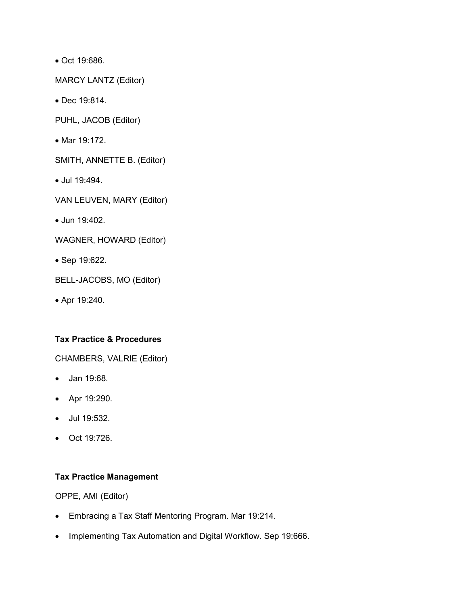• Oct 19:686.

MARCY LANTZ (Editor)

• Dec 19:814.

PUHL, JACOB (Editor)

- Mar 19:172.
- SMITH, ANNETTE B. (Editor)
- Jul 19:494.

VAN LEUVEN, MARY (Editor)

• Jun 19:402.

WAGNER, HOWARD (Editor)

• Sep 19:622.

BELL-JACOBS, MO (Editor)

• Apr 19:240.

#### **Tax Practice & Procedures**

CHAMBERS, VALRIE (Editor)

- Jan 19:68.
- Apr 19:290.
- Jul 19:532.
- Oct 19:726.

# **Tax Practice Management**

OPPE, AMI (Editor)

- Embracing a Tax Staff Mentoring Program. Mar 19:214.
- Implementing Tax Automation and Digital Workflow. Sep 19:666.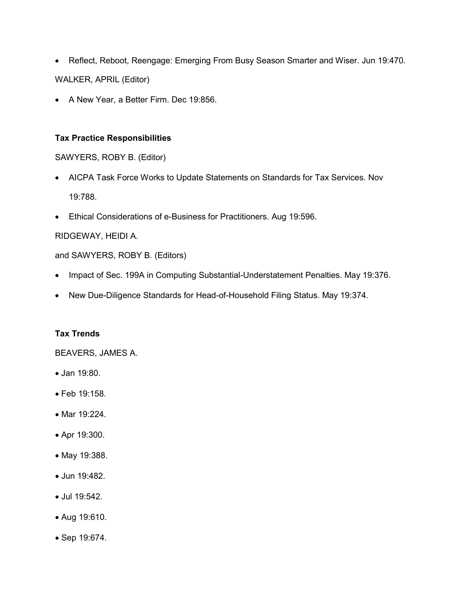- Reflect, Reboot, Reengage: Emerging From Busy Season Smarter and Wiser. Jun 19:470. WALKER, APRIL (Editor)
- A New Year, a Better Firm. Dec 19:856.

### **Tax Practice Responsibilities**

SAWYERS, ROBY B. (Editor)

- AICPA Task Force Works to Update Statements on Standards for Tax Services. Nov 19:788.
- Ethical Considerations of e-Business for Practitioners. Aug 19:596.

## RIDGEWAY, HEIDI A.

and SAWYERS, ROBY B. (Editors)

- Impact of Sec. 199A in Computing Substantial-Understatement Penalties. May 19:376.
- New Due-Diligence Standards for Head-of-Household Filing Status. May 19:374.

## **Tax Trends**

BEAVERS, JAMES A.

- Jan 19:80.
- Feb 19:158.
- Mar 19:224.
- Apr 19:300.
- May 19:388.
- Jun 19:482.
- Jul 19:542.
- Aug 19:610.
- Sep 19:674.